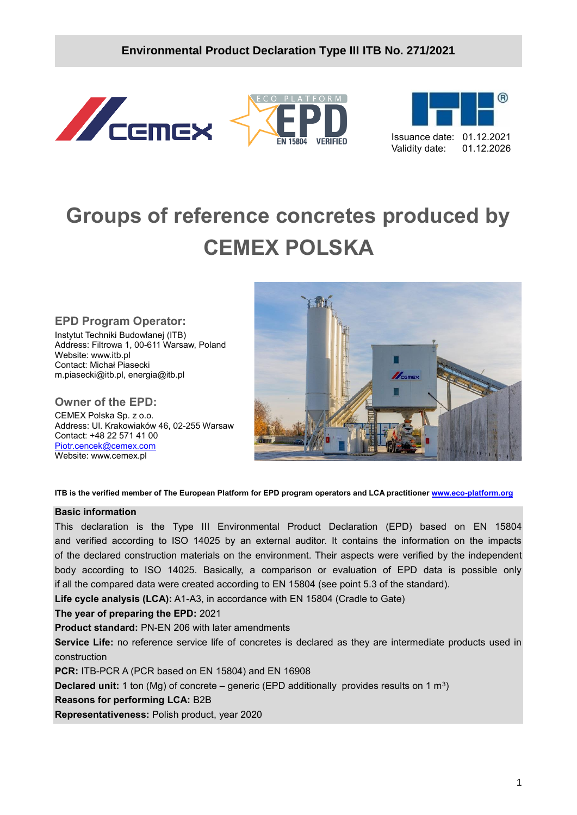## **Environmental Product Declaration Type III ITB No. 271/2021**







# **Groups of reference concretes produced by CEMEX POLSKA**

**EPD Program Operator:**

Instytut Techniki Budowlanej (ITB) Address: Filtrowa 1, 00-611 Warsaw, Poland Website: www.itb.pl Contact: Michał Piasecki m.piasecki@itb.pl, energia@itb.pl

**Owner of the EPD:** CEMEX Polska Sp. z o.o. Address: Ul. Krakowiaków 46, 02-255 Warsaw Contact: +48 22 571 41 00

[Piotr.cencek@cemex.com](mailto:Piotr.cencek@cemex.com) Website: www.cemex.pl



**ITB is the verified member of The European Platform for EPD program operators and LCA practitioner [www.eco-platform.org](http://www.eco-platform.org/)**

#### **Basic information**

This declaration is the Type III Environmental Product Declaration (EPD) based on EN 15804 and verified according to ISO 14025 by an external auditor. It contains the information on the impacts of the declared construction materials on the environment. Their aspects were verified by the independent body according to ISO 14025. Basically, a comparison or evaluation of EPD data is possible only if all the compared data were created according to EN 15804 (see point 5.3 of the standard).

**Life cycle analysis (LCA):** A1-A3, in accordance with EN 15804 (Cradle to Gate)

**The year of preparing the EPD:** 2021

**Product standard:** PN-EN 206 with later amendments

**Service Life:** no reference service life of concretes is declared as they are intermediate products used in construction

**PCR:** ITB-PCR A (PCR based on EN 15804) and EN 16908

**Declared unit:** 1 ton (Mg) of concrete – generic (EPD additionally provides results on 1 m<sup>3</sup>)

#### **Reasons for performing LCA:** B2B

**Representativeness:** Polish product, year 2020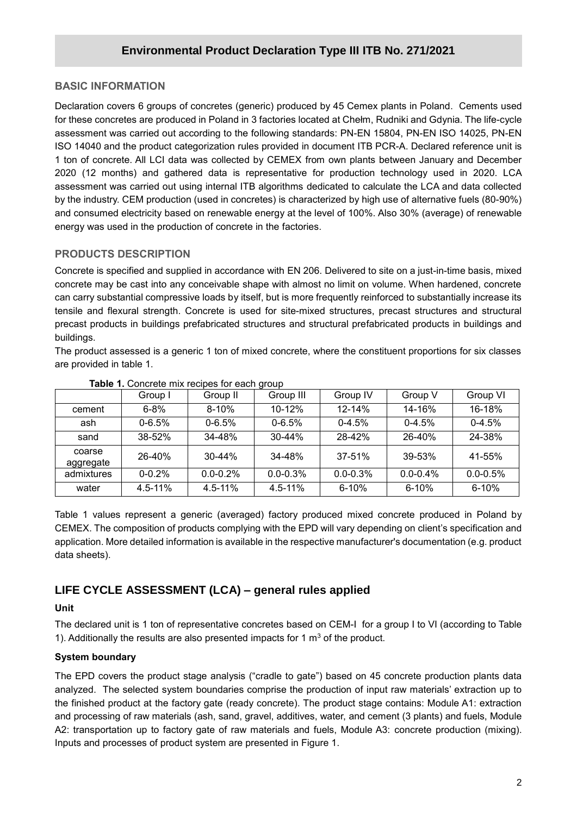#### **BASIC INFORMATION**

**/2020** for these concretes are produced in Poland in 3 factories located at Chełm, Rudniki and Gdynia. The life-cycle Declaration covers 6 groups of concretes (generic) produced by 45 Cemex plants in Poland. Cements used assessment was carried out according to the following standards: PN-EN 15804, PN-EN ISO 14025, PN-EN ISO 14040 and the product categorization rules provided in document ITB PCR-A. Declared reference unit is 1 ton of concrete. All LCI data was collected by CEMEX from own plants between January and December 2020 (12 months) and gathered data is representative for production technology used in 2020. LCA assessment was carried out using internal ITB algorithms dedicated to calculate the LCA and data collected by the industry. CEM production (used in concretes) is characterized by high use of alternative fuels (80-90%) and consumed electricity based on renewable energy at the level of 100%. Also 30% (average) of renewable energy was used in the production of concrete in the factories.

### **PRODUCTS DESCRIPTION**

Concrete is specified and supplied in accordance with EN 206. Delivered to site on a just-in-time basis, mixed concrete may be cast into any conceivable shape with almost no limit on volume. When hardened, concrete can carry substantial compressive loads by itself, but is more frequently reinforced to substantially increase its tensile and flexural strength. Concrete is used for site-mixed structures, precast structures and structural precast products in buildings prefabricated structures and structural prefabricated products in buildings and buildings.

The product assessed is a generic 1 ton of mixed concrete, where the constituent proportions for six classes are provided in table 1.

|                     |             |              | ັ             |               |               |               |
|---------------------|-------------|--------------|---------------|---------------|---------------|---------------|
|                     | Group I     | Group II     | Group III     | Group IV      | Group V       | Group VI      |
| cement              | $6 - 8%$    | $8 - 10%$    | $10 - 12%$    | $12 - 14%$    | 14-16%        | 16-18%        |
| ash                 | $0 - 6.5%$  | $0 - 6.5%$   | $0 - 6.5%$    | $0-4.5%$      | $0 - 4.5%$    | $0 - 4.5%$    |
| sand                | 38-52%      | 34-48%       | $30 - 44%$    | 28-42%        | 26-40%        | 24-38%        |
| coarse<br>aggregate | 26-40%      | $30 - 44%$   | 34-48%        | 37-51%        | 39-53%        | 41-55%        |
| admixtures          | $0 - 0.2%$  | $0.0 - 0.2%$ | $0.0 - 0.3\%$ | $0.0 - 0.3\%$ | $0.0 - 0.4\%$ | $0.0 - 0.5\%$ |
| water               | $4.5 - 11%$ | $4.5 - 11\%$ | $4.5 - 11\%$  | $6 - 10%$     | $6 - 10%$     | $6 - 10%$     |

**Table 1.** Concrete mix recipes for each group

Table 1 values represent a generic (averaged) factory produced mixed concrete produced in Poland by CEMEX. The composition of products complying with the EPD will vary depending on client's specification and application. More detailed information is available in the respective manufacturer's documentation (e.g. product data sheets).

## **LIFE CYCLE ASSESSMENT (LCA) – general rules applied**

#### **Unit**

The declared unit is 1 ton of representative concretes based on CEM-I for a group I to VI (according to Table 1). Additionally the results are also presented impacts for 1  $m<sup>3</sup>$  of the product.

#### **System boundary**

The EPD covers the product stage analysis ("cradle to gate") based on 45 concrete production plants data analyzed. The selected system boundaries comprise the production of input raw materials' extraction up to the finished product at the factory gate (ready concrete). The product stage contains: Module A1: extraction and processing of raw materials (ash, sand, gravel, additives, water, and cement (3 plants) and fuels, Module A2: transportation up to factory gate of raw materials and fuels, Module A3: concrete production (mixing). Inputs and processes of product system are presented in Figure 1.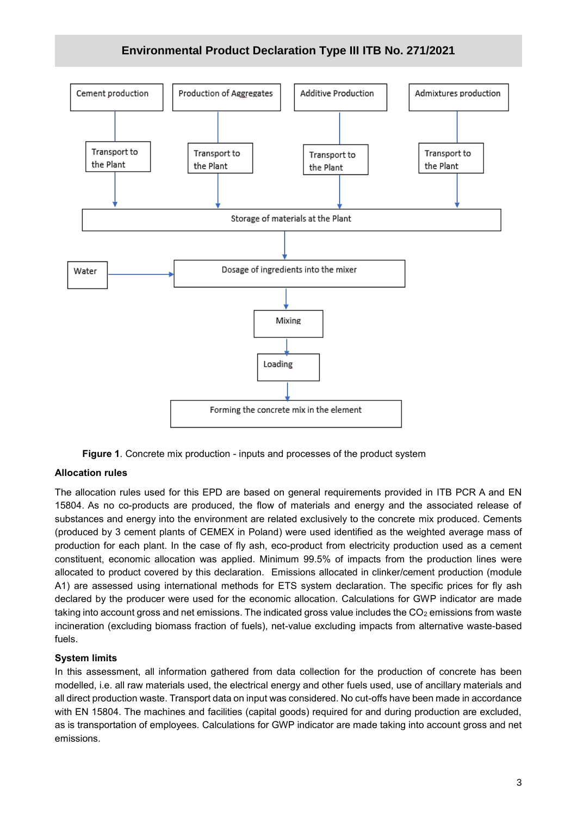## **Environmental Product Declaration Type III ITB No. 271/2021**



**Figure 1**. Concrete mix production - inputs and processes of the product system

#### **Allocation rules**

The allocation rules used for this EPD are based on general requirements provided in ITB PCR A and EN 15804. As no co-products are produced, the flow of materials and energy and the associated release of substances and energy into the environment are related exclusively to the concrete mix produced. Cements (produced by 3 cement plants of CEMEX in Poland) were used identified as the weighted average mass of production for each plant. In the case of fly ash, eco-product from electricity production used as a cement constituent, economic allocation was applied. Minimum 99.5% of impacts from the production lines were allocated to product covered by this declaration. Emissions allocated in clinker/cement production (module A1) are assessed using international methods for ETS system declaration. The specific prices for fly ash declared by the producer were used for the economic allocation. Calculations for GWP indicator are made taking into account gross and net emissions. The indicated gross value includes the  $CO<sub>2</sub>$  emissions from waste incineration (excluding biomass fraction of fuels), net-value excluding impacts from alternative waste-based fuels.

#### **System limits**

In this assessment, all information gathered from data collection for the production of concrete has been modelled, i.e. all raw materials used, the electrical energy and other fuels used, use of ancillary materials and all direct production waste. Transport data on input was considered. No cut-offs have been made in accordance with EN 15804. The machines and facilities (capital goods) required for and during production are excluded, as is transportation of employees. Calculations for GWP indicator are made taking into account gross and net emissions.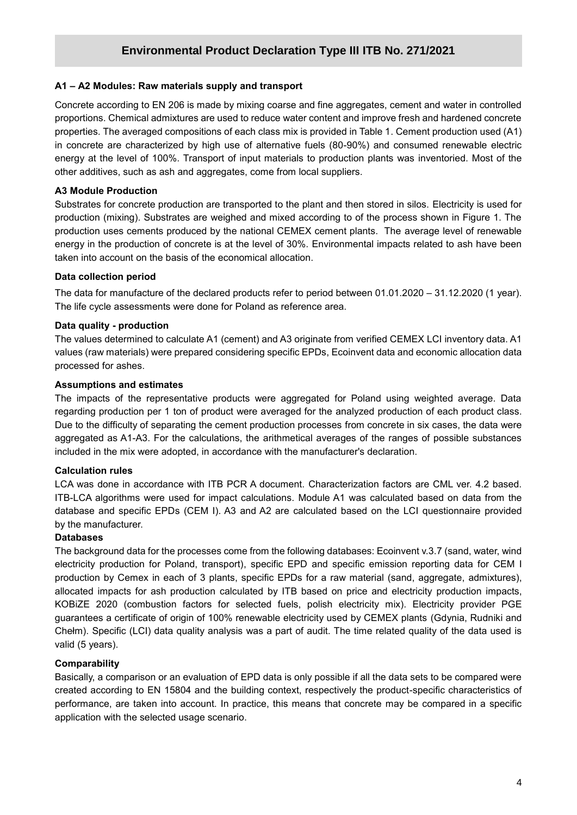#### **A1 – A2 Modules: Raw materials supply and transport**

**/2020** proportions. Chemical admixtures are used to reduce water content and improve fresh and hardened concrete Concrete according to EN 206 is made by mixing coarse and fine aggregates, cement and water in controlled properties. The averaged compositions of each class mix is provided in Table 1. Cement production used (A1) in concrete are characterized by high use of alternative fuels (80-90%) and consumed renewable electric energy at the level of 100%. Transport of input materials to production plants was inventoried. Most of the other additives, such as ash and aggregates, come from local suppliers.

#### **A3 Module Production**

Substrates for concrete production are transported to the plant and then stored in silos. Electricity is used for production (mixing). Substrates are weighed and mixed according to of the process shown in Figure 1. The production uses cements produced by the national CEMEX cement plants. The average level of renewable energy in the production of concrete is at the level of 30%. Environmental impacts related to ash have been taken into account on the basis of the economical allocation.

#### **Data collection period**

The data for manufacture of the declared products refer to period between 01.01.2020 – 31.12.2020 (1 year). The life cycle assessments were done for Poland as reference area.

#### **Data quality - production**

The values determined to calculate A1 (cement) and A3 originate from verified CEMEX LCI inventory data. A1 values (raw materials) were prepared considering specific EPDs, Ecoinvent data and economic allocation data processed for ashes.

#### **Assumptions and estimates**

The impacts of the representative products were aggregated for Poland using weighted average. Data regarding production per 1 ton of product were averaged for the analyzed production of each product class. Due to the difficulty of separating the cement production processes from concrete in six cases, the data were aggregated as A1-A3. For the calculations, the arithmetical averages of the ranges of possible substances included in the mix were adopted, in accordance with the manufacturer's declaration.

#### **Calculation rules**

LCA was done in accordance with ITB PCR A document. Characterization factors are CML ver. 4.2 based. ITB-LCA algorithms were used for impact calculations. Module A1 was calculated based on data from the database and specific EPDs (CEM I). A3 and A2 are calculated based on the LCI questionnaire provided by the manufacturer.

#### **Databases**

The background data for the processes come from the following databases: Ecoinvent v.3.7 (sand, water, wind electricity production for Poland, transport), specific EPD and specific emission reporting data for CEM I production by Cemex in each of 3 plants, specific EPDs for a raw material (sand, aggregate, admixtures), allocated impacts for ash production calculated by ITB based on price and electricity production impacts, KOBiZE 2020 (combustion factors for selected fuels, polish electricity mix). Electricity provider PGE guarantees a certificate of origin of 100% renewable electricity used by CEMEX plants (Gdynia, Rudniki and Chełm). Specific (LCI) data quality analysis was a part of audit. The time related quality of the data used is valid (5 years).

#### **Comparability**

Basically, a comparison or an evaluation of EPD data is only possible if all the data sets to be compared were created according to EN 15804 and the building context, respectively the product-specific characteristics of performance, are taken into account. In practice, this means that concrete may be compared in a specific application with the selected usage scenario.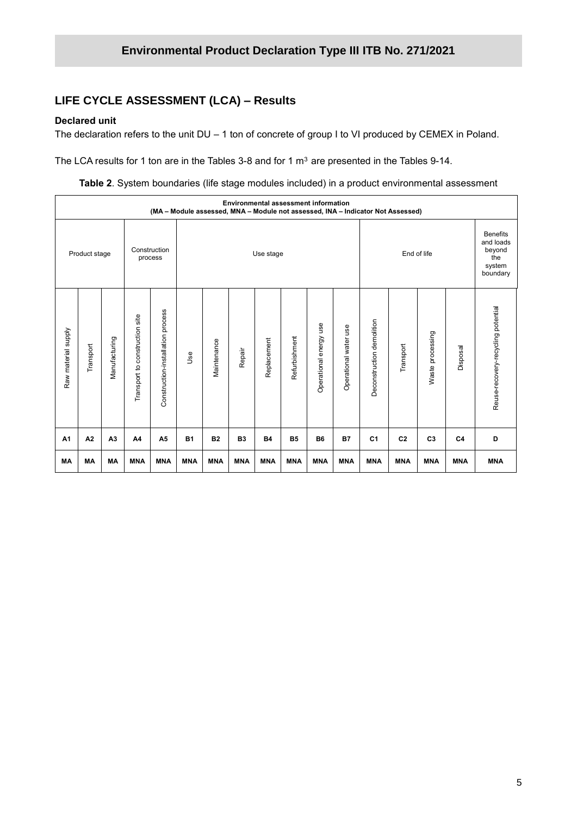## **LIFE CYCLE ASSESSMENT (LCA) – Results**

#### **Declared unit**

The declaration refers to the unit DU – 1 ton of concrete of group I to VI produced by CEMEX in Poland.

The LCA results for 1 ton are in the Tables 3-8 and for 1  $m<sup>3</sup>$  are presented in the Tables 9-14.

**Table 2**. System boundaries (life stage modules included) in a product environmental assessment

|                     | <b>Environmental assessment information</b><br>(MA - Module assessed, MNA - Module not assessed, INA - Indicator Not Assessed) |                |                                   |                                   |            |             |            |             |               |                              |                       |                           |                |                                                                     |            |                                    |
|---------------------|--------------------------------------------------------------------------------------------------------------------------------|----------------|-----------------------------------|-----------------------------------|------------|-------------|------------|-------------|---------------|------------------------------|-----------------------|---------------------------|----------------|---------------------------------------------------------------------|------------|------------------------------------|
| Product stage       |                                                                                                                                |                |                                   | Construction<br>process           |            | Use stage   |            |             |               |                              |                       | End of life               |                | <b>Benefits</b><br>and loads<br>beyond<br>the<br>system<br>boundary |            |                                    |
| Raw material supply | Transport                                                                                                                      | Manufacturing  | construction site<br>Transport to | Construction-installation process | <b>Use</b> | Maintenance | Repair     | Replacement | Refurbishment | use<br>energy<br>Operational | Operational water use | Deconstruction demolition | Transport      | Waste processing                                                    | Disposal   | Reuse-recovery-recycling potential |
| A <sub>1</sub>      | A2                                                                                                                             | A <sub>3</sub> | A4                                | A5                                | <b>B1</b>  | <b>B2</b>   | <b>B3</b>  | <b>B4</b>   | <b>B5</b>     | <b>B6</b>                    | <b>B7</b>             | C <sub>1</sub>            | C <sub>2</sub> | C <sub>3</sub>                                                      | C4         | D                                  |
| MA                  | <b>MA</b>                                                                                                                      | <b>MA</b>      | <b>MNA</b>                        | <b>MNA</b>                        | <b>MNA</b> | <b>MNA</b>  | <b>MNA</b> | <b>MNA</b>  | <b>MNA</b>    | <b>MNA</b>                   | <b>MNA</b>            | <b>MNA</b>                | <b>MNA</b>     | <b>MNA</b>                                                          | <b>MNA</b> | <b>MNA</b>                         |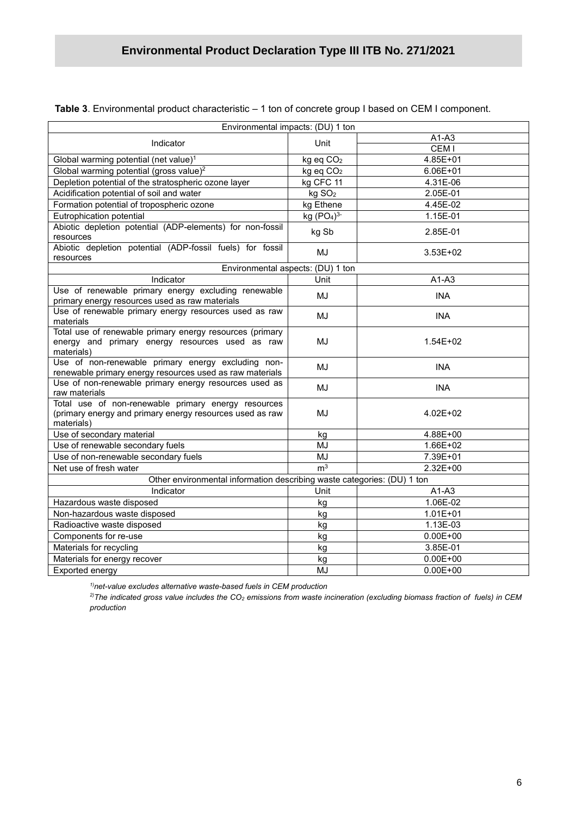| Environmental impacts: (DU) 1 ton                                                                                             |                        |                  |
|-------------------------------------------------------------------------------------------------------------------------------|------------------------|------------------|
| Indicator                                                                                                                     | Unit                   | $A1-A3$          |
|                                                                                                                               |                        | CEM <sub>I</sub> |
| Global warming potential (net value) <sup>1</sup>                                                                             | kg eq CO <sub>2</sub>  | 4.85E+01         |
| Global warming potential (gross value) <sup>2</sup>                                                                           | kg eq CO <sub>2</sub>  | 6.06E+01         |
| Depletion potential of the stratospheric ozone layer                                                                          | kg CFC 11              | 4.31E-06         |
| Acidification potential of soil and water                                                                                     | kg SO <sub>2</sub>     | 2.05E-01         |
| Formation potential of tropospheric ozone                                                                                     | $\overline{kg}$ Ethene | 4.45E-02         |
| Eutrophication potential                                                                                                      | kg $(PO4)3$            | 1.15E-01         |
| Abiotic depletion potential (ADP-elements) for non-fossil<br>resources                                                        | kg Sb                  | 2.85E-01         |
| Abiotic depletion potential (ADP-fossil fuels) for fossil<br>resources                                                        | MJ                     | $3.53E + 02$     |
| Environmental aspects: (DU) 1 ton                                                                                             |                        |                  |
| <b>Indicator</b>                                                                                                              | Unit                   | $A1-A3$          |
| Use of renewable primary energy excluding renewable                                                                           | MJ                     | <b>INA</b>       |
| primary energy resources used as raw materials<br>Use of renewable primary energy resources used as raw                       | MJ                     | <b>INA</b>       |
| materials                                                                                                                     |                        |                  |
| Total use of renewable primary energy resources (primary<br>energy and primary energy resources used as raw<br>materials)     | MJ                     | $1.54E + 02$     |
| Use of non-renewable primary energy excluding non-<br>renewable primary energy resources used as raw materials                | MJ                     | <b>INA</b>       |
| Use of non-renewable primary energy resources used as<br>raw materials                                                        | MJ                     | <b>INA</b>       |
| Total use of non-renewable primary energy resources<br>(primary energy and primary energy resources used as raw<br>materials) | MJ                     | 4.02E+02         |
| Use of secondary material                                                                                                     | kg                     | 4.88E+00         |
| Use of renewable secondary fuels                                                                                              | <b>MJ</b>              | 1.66E+02         |
| Use of non-renewable secondary fuels                                                                                          | <b>MJ</b>              | 7.39E+01         |
| Net use of fresh water                                                                                                        | m <sup>3</sup>         | 2.32E+00         |
| Other environmental information describing waste categories: (DU) 1 ton                                                       |                        |                  |
| Indicator                                                                                                                     | Unit                   | $A1-A3$          |
| Hazardous waste disposed                                                                                                      | kg                     | 1.06E-02         |
| Non-hazardous waste disposed                                                                                                  | kg                     | $1.01E + 01$     |
| Radioactive waste disposed                                                                                                    | kg                     | 1.13E-03         |
| Components for re-use                                                                                                         | kg                     | $0.00E + 00$     |
| Materials for recycling                                                                                                       | kg                     | 3.85E-01         |
| Materials for energy recover                                                                                                  | kg                     | $0.00E + 00$     |
| Exported energy                                                                                                               | MJ                     | $0.00E + 00$     |
|                                                                                                                               |                        |                  |

**Table 3**. Environmental product characteristic – 1 ton of concrete group I based on CEM I component.

*1)net-value excludes alternative waste-based fuels in CEM production*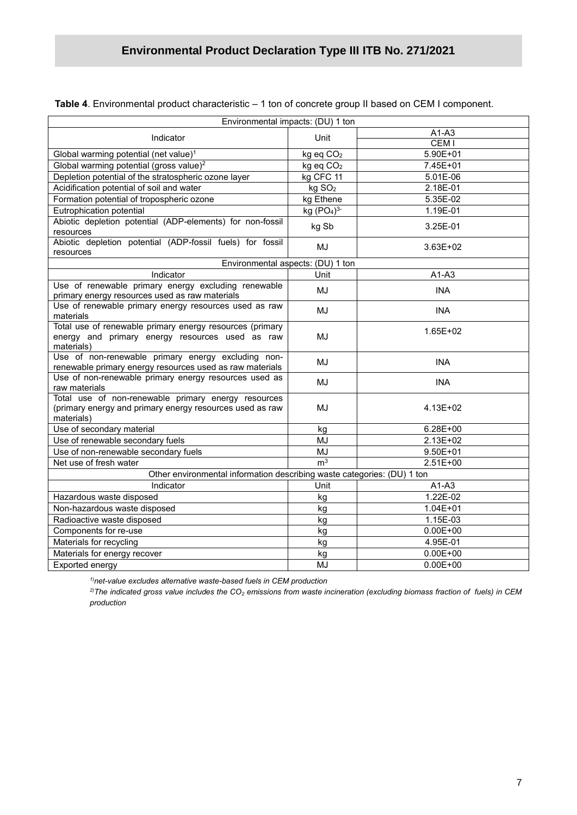| Environmental impacts: (DU) 1 ton                                                                                             |                                    |                  |
|-------------------------------------------------------------------------------------------------------------------------------|------------------------------------|------------------|
| Indicator                                                                                                                     | Unit                               | $A1-A3$          |
|                                                                                                                               |                                    | CEM <sub>I</sub> |
| Global warming potential (net value) <sup>1</sup>                                                                             | kg eq CO <sub>2</sub>              | 5.90E+01         |
| Global warming potential (gross value) <sup>2</sup>                                                                           | kg eq CO <sub>2</sub>              | 7.45E+01         |
| Depletion potential of the stratospheric ozone layer                                                                          | kg CFC 11                          | 5.01E-06         |
| Acidification potential of soil and water                                                                                     | kg SO <sub>2</sub>                 | 2.18E-01         |
| Formation potential of tropospheric ozone                                                                                     | kg Ethene                          | 5.35E-02         |
| Eutrophication potential                                                                                                      | kg (PO <sub>4</sub> ) <sup>3</sup> | 1.19E-01         |
| Abiotic depletion potential (ADP-elements) for non-fossil<br>resources                                                        | kg Sb                              | 3.25E-01         |
| Abiotic depletion potential (ADP-fossil fuels) for fossil<br>resources                                                        | <b>MJ</b>                          | $3.63E + 02$     |
| Environmental aspects: (DU) 1 ton                                                                                             |                                    |                  |
| Indicator                                                                                                                     | Unit                               | $A1-A3$          |
| Use of renewable primary energy excluding renewable<br>primary energy resources used as raw materials                         | <b>MJ</b>                          | <b>INA</b>       |
| Use of renewable primary energy resources used as raw<br>materials                                                            | <b>MJ</b>                          | <b>INA</b>       |
| Total use of renewable primary energy resources (primary<br>energy and primary energy resources used as raw<br>materials)     | MJ                                 | 1.65E+02         |
| Use of non-renewable primary energy excluding non-<br>renewable primary energy resources used as raw materials                | <b>MJ</b>                          | <b>INA</b>       |
| Use of non-renewable primary energy resources used as<br>raw materials                                                        | <b>MJ</b>                          | <b>INA</b>       |
| Total use of non-renewable primary energy resources<br>(primary energy and primary energy resources used as raw<br>materials) | <b>MJ</b>                          | 4.13E+02         |
| Use of secondary material                                                                                                     | kg                                 | 6.28E+00         |
| Use of renewable secondary fuels                                                                                              | MJ                                 | 2.13E+02         |
| Use of non-renewable secondary fuels                                                                                          | <b>MJ</b>                          | $9.50E + 01$     |
| Net use of fresh water                                                                                                        | m <sup>3</sup>                     | $2.51E+00$       |
| Other environmental information describing waste categories: (DU) 1 ton                                                       |                                    |                  |
| Indicator                                                                                                                     | Unit                               | $A1-A3$          |
| Hazardous waste disposed                                                                                                      | kg                                 | 1.22E-02         |
| Non-hazardous waste disposed                                                                                                  | kg                                 | $1.04E + 01$     |
| Radioactive waste disposed                                                                                                    | kg                                 | 1.15E-03         |
| Components for re-use                                                                                                         | kg                                 | $0.00E + 00$     |
| Materials for recycling                                                                                                       | kg                                 | 4.95E-01         |
| Materials for energy recover                                                                                                  | kg                                 | $0.00E + 00$     |
| Exported energy                                                                                                               | MJ                                 | $0.00E + 00$     |

**Table 4**. Environmental product characteristic – 1 ton of concrete group II based on CEM I component.

*1)net-value excludes alternative waste-based fuels in CEM production*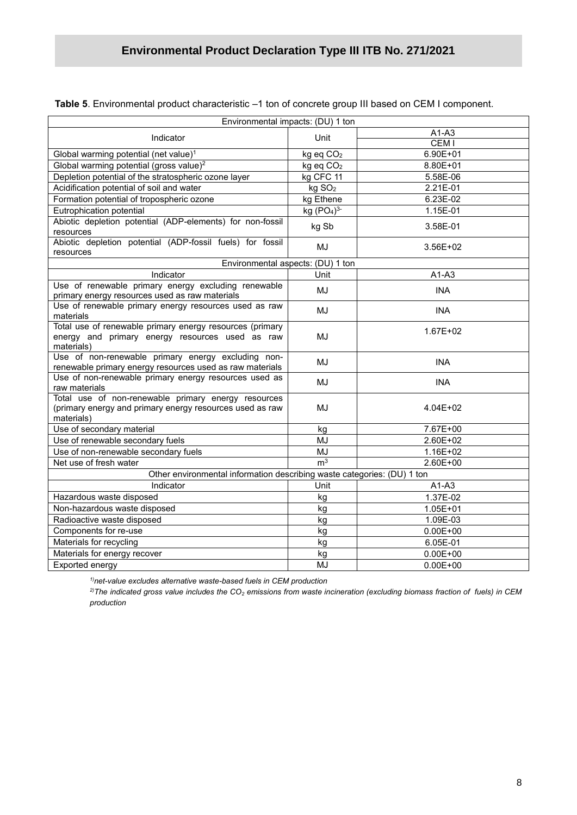| Environmental impacts: (DU) 1 ton                                                                                             |                                    |                  |
|-------------------------------------------------------------------------------------------------------------------------------|------------------------------------|------------------|
| Indicator                                                                                                                     | Unit                               | A1-A3            |
|                                                                                                                               |                                    | CEM <sub>I</sub> |
| Global warming potential (net value) <sup>1</sup>                                                                             | kg eq CO <sub>2</sub>              | 6.90E+01         |
| Global warming potential (gross value) <sup>2</sup>                                                                           | kg eq CO <sub>2</sub>              | 8.80E+01         |
| Depletion potential of the stratospheric ozone layer                                                                          | kg CFC 11                          | 5.58E-06         |
| Acidification potential of soil and water                                                                                     | kg SO <sub>2</sub>                 | 2.21E-01         |
| Formation potential of tropospheric ozone                                                                                     | kg Ethene                          | 6.23E-02         |
| Eutrophication potential                                                                                                      | kg (PO <sub>4</sub> ) <sup>3</sup> | 1.15E-01         |
| Abiotic depletion potential (ADP-elements) for non-fossil<br>resources                                                        | kg Sb                              | 3.58E-01         |
| Abiotic depletion potential (ADP-fossil fuels) for fossil<br>resources                                                        | MJ                                 | $3.56E + 02$     |
| Environmental aspects: (DU) 1 ton                                                                                             |                                    |                  |
| Indicator                                                                                                                     | Unit                               | $A1-A3$          |
| Use of renewable primary energy excluding renewable<br>primary energy resources used as raw materials                         | MJ                                 | <b>INA</b>       |
| Use of renewable primary energy resources used as raw<br>materials                                                            | MJ                                 | <b>INA</b>       |
| Total use of renewable primary energy resources (primary<br>energy and primary energy resources used as raw<br>materials)     | MJ                                 | 1.67E+02         |
| Use of non-renewable primary energy excluding non-<br>renewable primary energy resources used as raw materials                | MJ                                 | <b>INA</b>       |
| Use of non-renewable primary energy resources used as<br>raw materials                                                        | MJ                                 | <b>INA</b>       |
| Total use of non-renewable primary energy resources<br>(primary energy and primary energy resources used as raw<br>materials) | MJ                                 | 4.04E+02         |
| Use of secondary material                                                                                                     | kg                                 | 7.67E+00         |
| Use of renewable secondary fuels                                                                                              | MJ                                 | 2.60E+02         |
| Use of non-renewable secondary fuels                                                                                          | MJ                                 | 1.16E+02         |
| Net use of fresh water                                                                                                        | m <sup>3</sup>                     | 2.60E+00         |
| Other environmental information describing waste categories: (DU) 1 ton                                                       |                                    |                  |
| Indicator                                                                                                                     | Unit                               | $A1-A3$          |
| Hazardous waste disposed                                                                                                      | kg                                 | 1.37E-02         |
| Non-hazardous waste disposed                                                                                                  | kg                                 | 1.05E+01         |
| Radioactive waste disposed                                                                                                    | kg                                 | 1.09E-03         |
| Components for re-use                                                                                                         | kg                                 | $0.00E + 00$     |
| Materials for recycling                                                                                                       | kg                                 | 6.05E-01         |
| Materials for energy recover                                                                                                  | kg                                 | $0.00E + 00$     |
| Exported energy                                                                                                               | MJ                                 | $0.00E + 00$     |

**Table 5**. Environmental product characteristic –1 ton of concrete group III based on CEM I component.

*1)net-value excludes alternative waste-based fuels in CEM production*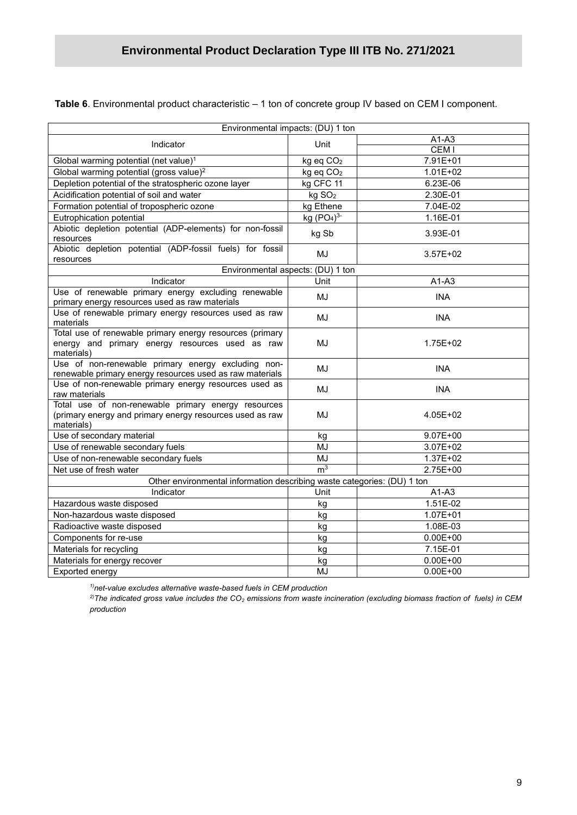**Table 6**. Environmental product characteristic – 1 ton of concrete group IV based on CEM I component.

|                                                                                                                               | Environmental impacts: (DU) 1 ton |                  |
|-------------------------------------------------------------------------------------------------------------------------------|-----------------------------------|------------------|
|                                                                                                                               |                                   | $A1-A3$          |
| Indicator                                                                                                                     | Unit                              | CEM <sub>I</sub> |
| Global warming potential (net value) <sup>1</sup>                                                                             | kg eq CO <sub>2</sub>             | 7.91E+01         |
| Global warming potential (gross value) <sup>2</sup>                                                                           | kg eq CO <sub>2</sub>             | $1.01E + 02$     |
| Depletion potential of the stratospheric ozone layer                                                                          | kg CFC 11                         | 6.23E-06         |
| Acidification potential of soil and water                                                                                     | kg SO <sub>2</sub>                | 2.30E-01         |
| Formation potential of tropospheric ozone                                                                                     | kg Ethene                         | 7.04E-02         |
| Eutrophication potential                                                                                                      | kg $(PO4)3$                       | 1.16E-01         |
| Abiotic depletion potential (ADP-elements) for non-fossil<br>resources                                                        | kg Sb                             | 3.93E-01         |
| Abiotic depletion potential (ADP-fossil fuels) for fossil<br>resources                                                        | MJ                                | $3.57E + 02$     |
|                                                                                                                               | Environmental aspects: (DU) 1 ton |                  |
| Indicator                                                                                                                     | Unit                              | $A1-A3$          |
| Use of renewable primary energy excluding renewable<br>primary energy resources used as raw materials                         | MJ                                | <b>INA</b>       |
| Use of renewable primary energy resources used as raw<br>materials                                                            | MJ                                | <b>INA</b>       |
| Total use of renewable primary energy resources (primary<br>energy and primary energy resources used as raw<br>materials)     | <b>MJ</b>                         | 1.75E+02         |
| Use of non-renewable primary energy excluding non-<br>renewable primary energy resources used as raw materials                | MJ                                | <b>INA</b>       |
| Use of non-renewable primary energy resources used as<br>raw materials                                                        | MJ                                | <b>INA</b>       |
| Total use of non-renewable primary energy resources<br>(primary energy and primary energy resources used as raw<br>materials) | MJ                                | 4.05E+02         |
| Use of secondary material                                                                                                     | kg                                | $9.07E + 00$     |
| Use of renewable secondary fuels                                                                                              | MJ                                | 3.07E+02         |
| Use of non-renewable secondary fuels                                                                                          | MJ                                | 1.37E+02         |
| Net use of fresh water                                                                                                        | m <sup>3</sup>                    | 2.75E+00         |
| Other environmental information describing waste categories: (DU) 1 ton                                                       |                                   |                  |
| Indicator                                                                                                                     | Unit                              | $A1-A3$          |
| Hazardous waste disposed                                                                                                      | kg                                | 1.51E-02         |
| Non-hazardous waste disposed                                                                                                  | kg                                | $1.07E + 01$     |
| Radioactive waste disposed                                                                                                    | kg                                | 1.08E-03         |
| Components for re-use                                                                                                         | kg                                | $0.00E + 00$     |
| Materials for recycling                                                                                                       | kg                                | 7.15E-01         |
| Materials for energy recover                                                                                                  | kg                                | $0.00E + 00$     |
| Exported energy                                                                                                               | MJ                                | $0.00E + 00$     |

*1)net-value excludes alternative waste-based fuels in CEM production*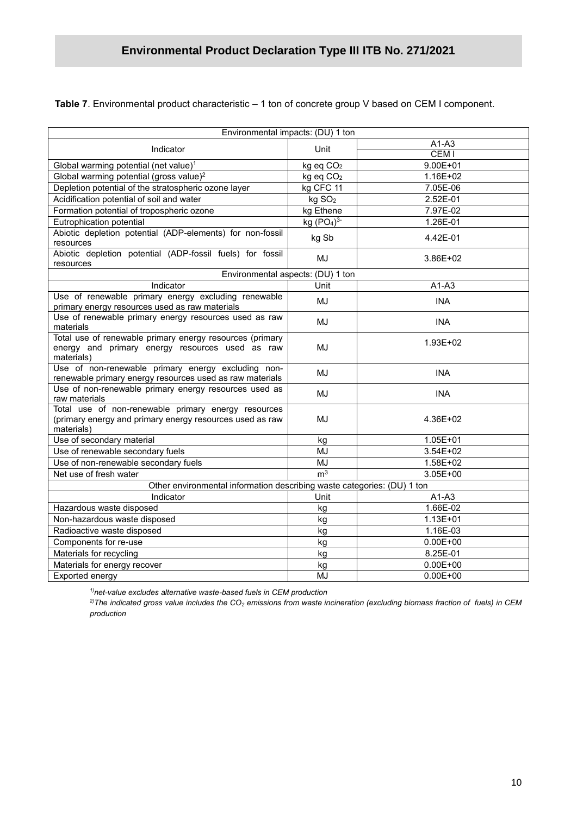**Table 7**. Environmental product characteristic – 1 ton of concrete group V based on CEM I component.

|                                                                                                                               | Environmental impacts: (DU) 1 ton |                     |
|-------------------------------------------------------------------------------------------------------------------------------|-----------------------------------|---------------------|
|                                                                                                                               | $A1-A3$                           |                     |
| Indicator                                                                                                                     | Unit                              | CEM <sub>I</sub>    |
| Global warming potential (net value) <sup>1</sup>                                                                             | kg eq CO <sub>2</sub>             | $9.00E + 01$        |
| Global warming potential (gross value) <sup>2</sup>                                                                           | kg eq CO <sub>2</sub>             | $1.16E + 02$        |
| Depletion potential of the stratospheric ozone layer                                                                          | kg CFC 11                         | 7.05E-06            |
| Acidification potential of soil and water                                                                                     | kg SO <sub>2</sub>                | 2.52E-01            |
| Formation potential of tropospheric ozone                                                                                     | kg Ethene                         | 7.97E-02            |
| Eutrophication potential                                                                                                      | kg $(PO4)3$                       | 1.26E-01            |
| Abiotic depletion potential (ADP-elements) for non-fossil<br>resources                                                        | kg Sb                             | 4.42E-01            |
| Abiotic depletion potential (ADP-fossil fuels) for fossil<br>resources                                                        | MJ                                | 3.86E+02            |
|                                                                                                                               | Environmental aspects: (DU) 1 ton |                     |
| Indicator                                                                                                                     | Unit                              | $\overline{A}$ 1-A3 |
| Use of renewable primary energy excluding renewable<br>primary energy resources used as raw materials                         | MJ                                | <b>INA</b>          |
| Use of renewable primary energy resources used as raw<br>materials                                                            | MJ                                | <b>INA</b>          |
| Total use of renewable primary energy resources (primary<br>energy and primary energy resources used as raw<br>materials)     | MJ                                | 1.93E+02            |
| Use of non-renewable primary energy excluding non-<br>renewable primary energy resources used as raw materials                | MJ                                | <b>INA</b>          |
| Use of non-renewable primary energy resources used as<br>raw materials                                                        | MJ                                | <b>INA</b>          |
| Total use of non-renewable primary energy resources<br>(primary energy and primary energy resources used as raw<br>materials) | MJ                                | 4.36E+02            |
| Use of secondary material                                                                                                     | kg                                | $1.05E + 01$        |
| Use of renewable secondary fuels                                                                                              | <b>MJ</b>                         | 3.54E+02            |
| Use of non-renewable secondary fuels                                                                                          | <b>MJ</b>                         | 1.58E+02            |
| Net use of fresh water                                                                                                        | m <sup>3</sup>                    | 3.05E+00            |
| Other environmental information describing waste categories: (DU) 1 ton                                                       |                                   |                     |
| Indicator                                                                                                                     | Unit                              | $A1-A3$             |
| Hazardous waste disposed                                                                                                      | kg                                | 1.66E-02            |
| Non-hazardous waste disposed                                                                                                  | kg                                | $1.13E + 01$        |
| Radioactive waste disposed                                                                                                    | kg                                | 1.16E-03            |
| Components for re-use                                                                                                         | kg                                | $0.00E + 00$        |
| Materials for recycling                                                                                                       | kg                                | 8.25E-01            |
| Materials for energy recover                                                                                                  | kg                                | $0.00E + 00$        |
| Exported energy                                                                                                               | MJ                                | $0.00E + 00$        |

*1)net-value excludes alternative waste-based fuels in CEM production*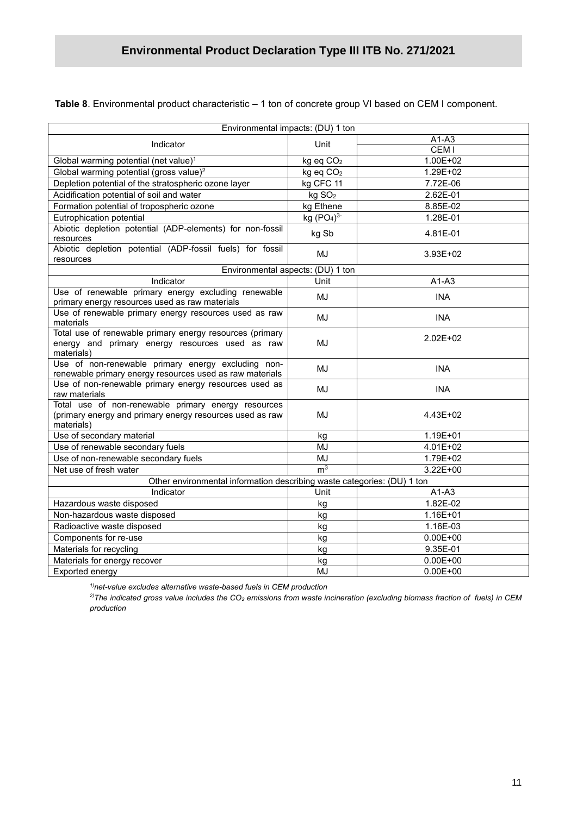**Table 8**. Environmental product characteristic – 1 ton of concrete group VI based on CEM I component.

| Environmental impacts: (DU) 1 ton                                                                                             |                       |                  |
|-------------------------------------------------------------------------------------------------------------------------------|-----------------------|------------------|
| Indicator                                                                                                                     | Unit                  | $A1-A3$          |
|                                                                                                                               |                       | CEM <sub>I</sub> |
| Global warming potential (net value) <sup>1</sup>                                                                             | kg eq CO <sub>2</sub> | $1.00E + 02$     |
| Global warming potential (gross value) <sup>2</sup>                                                                           | kg eq CO <sub>2</sub> | 1.29E+02         |
| Depletion potential of the stratospheric ozone layer                                                                          | kg CFC 11             | 7.72E-06         |
| Acidification potential of soil and water                                                                                     | kg SO <sub>2</sub>    | 2.62E-01         |
| Formation potential of tropospheric ozone                                                                                     | kg Ethene             | 8.85E-02         |
| Eutrophication potential                                                                                                      | kg $(PO4)3$           | 1.28E-01         |
| Abiotic depletion potential (ADP-elements) for non-fossil<br>resources                                                        | kg Sb                 | 4.81E-01         |
| Abiotic depletion potential (ADP-fossil fuels) for fossil<br>resources                                                        | MJ                    | 3.93E+02         |
| Environmental aspects: (DU) 1 ton                                                                                             |                       |                  |
| Indicator                                                                                                                     | Unit                  | $A1-A3$          |
| Use of renewable primary energy excluding renewable<br>primary energy resources used as raw materials                         | MJ                    | <b>INA</b>       |
| Use of renewable primary energy resources used as raw<br>materials                                                            | MJ                    | <b>INA</b>       |
| Total use of renewable primary energy resources (primary<br>energy and primary energy resources used as raw<br>materials)     | MJ                    | $2.02E + 02$     |
| Use of non-renewable primary energy excluding non-<br>renewable primary energy resources used as raw materials                | MJ                    | <b>INA</b>       |
| Use of non-renewable primary energy resources used as<br>raw materials                                                        | MJ                    | <b>INA</b>       |
| Total use of non-renewable primary energy resources<br>(primary energy and primary energy resources used as raw<br>materials) | MJ                    | 4.43E+02         |
| Use of secondary material                                                                                                     | kg                    | 1.19E+01         |
| Use of renewable secondary fuels                                                                                              | MJ                    | 4.01E+02         |
| Use of non-renewable secondary fuels                                                                                          | MJ                    | 1.79E+02         |
| Net use of fresh water                                                                                                        | m <sup>3</sup>        | $3.22E + 00$     |
| Other environmental information describing waste categories: (DU) 1 ton                                                       |                       |                  |
| Indicator                                                                                                                     | Unit                  | $A1-A3$          |
| Hazardous waste disposed                                                                                                      | kg                    | 1.82E-02         |
| Non-hazardous waste disposed                                                                                                  | kg                    | 1.16E+01         |
| Radioactive waste disposed                                                                                                    | kg                    | 1.16E-03         |
| Components for re-use                                                                                                         | kg                    | $0.00E + 00$     |
| Materials for recycling                                                                                                       | kg                    | 9.35E-01         |
| Materials for energy recover                                                                                                  | kg                    | $0.00E + 00$     |
| Exported energy                                                                                                               | MJ                    | $0.00E + 00$     |
|                                                                                                                               |                       |                  |

*1)net-value excludes alternative waste-based fuels in CEM production*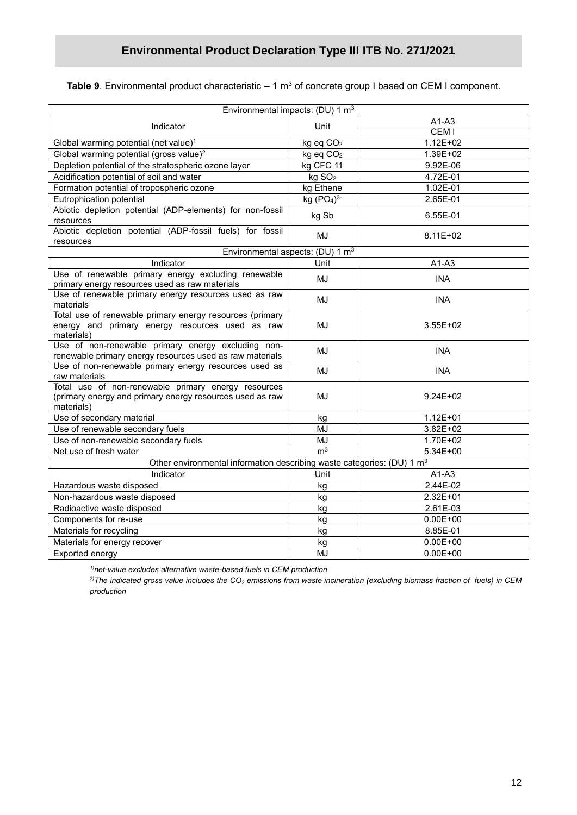**Table 9**. Environmental product characteristic – 1 m<sup>3</sup> of concrete group I based on CEM I component.

|                                                                                                                               | Environmental impacts: (DU) 1 m <sup>3</sup> |                  |
|-------------------------------------------------------------------------------------------------------------------------------|----------------------------------------------|------------------|
| Indicator                                                                                                                     | Unit                                         | $A1-A3$          |
|                                                                                                                               |                                              | CEM <sub>I</sub> |
| Global warming potential (net value) <sup>1</sup>                                                                             | kg eq CO <sub>2</sub>                        | $1.12E + 02$     |
| Global warming potential (gross value) <sup>2</sup>                                                                           | kg eq CO <sub>2</sub>                        | 1.39E+02         |
| Depletion potential of the stratospheric ozone layer                                                                          | kg CFC 11                                    | 9.92E-06         |
| Acidification potential of soil and water                                                                                     | kg SO <sub>2</sub>                           | 4.72E-01         |
| Formation potential of tropospheric ozone                                                                                     | kg Ethene                                    | 1.02E-01         |
| Eutrophication potential                                                                                                      | kg $(PO4)3$                                  | 2.65E-01         |
| Abiotic depletion potential (ADP-elements) for non-fossil<br>resources                                                        | kg Sb                                        | 6.55E-01         |
| Abiotic depletion potential (ADP-fossil fuels) for fossil<br>resources                                                        | MJ                                           | 8.11E+02         |
|                                                                                                                               | Environmental aspects: (DU) 1 m <sup>3</sup> |                  |
| Indicator                                                                                                                     | Unit                                         | $A1-A3$          |
| Use of renewable primary energy excluding renewable<br>primary energy resources used as raw materials                         | MJ                                           | <b>INA</b>       |
| Use of renewable primary energy resources used as raw<br>materials                                                            | MJ                                           | <b>INA</b>       |
| Total use of renewable primary energy resources (primary<br>energy and primary energy resources used as raw<br>materials)     | MJ                                           | $3.55E + 02$     |
| Use of non-renewable primary energy excluding non-<br>renewable primary energy resources used as raw materials                | MJ                                           | <b>INA</b>       |
| Use of non-renewable primary energy resources used as<br>raw materials                                                        | MJ                                           | <b>INA</b>       |
| Total use of non-renewable primary energy resources<br>(primary energy and primary energy resources used as raw<br>materials) | MJ                                           | $9.24E + 02$     |
| Use of secondary material                                                                                                     | kg                                           | $1.12E + 01$     |
| Use of renewable secondary fuels                                                                                              | MJ                                           | 3.82E+02         |
| Use of non-renewable secondary fuels                                                                                          | <b>MJ</b>                                    | $1.70E + 02$     |
| Net use of fresh water                                                                                                        | m <sup>3</sup>                               | 5.34E+00         |
| Other environmental information describing waste categories: (DU) 1 m <sup>3</sup>                                            |                                              |                  |
| Indicator                                                                                                                     | Unit                                         | $A1-A3$          |
| Hazardous waste disposed                                                                                                      | kg                                           | 2.44E-02         |
| Non-hazardous waste disposed                                                                                                  | kg                                           | 2.32E+01         |
| Radioactive waste disposed                                                                                                    | kg                                           | 2.61E-03         |
| Components for re-use                                                                                                         | kg                                           | $0.00E + 00$     |
| Materials for recycling                                                                                                       | kg                                           | 8.85E-01         |
| Materials for energy recover                                                                                                  | kg                                           | $0.00E + 00$     |
| Exported energy                                                                                                               | MJ                                           | $0.00E + 00$     |

*1)net-value excludes alternative waste-based fuels in CEM production*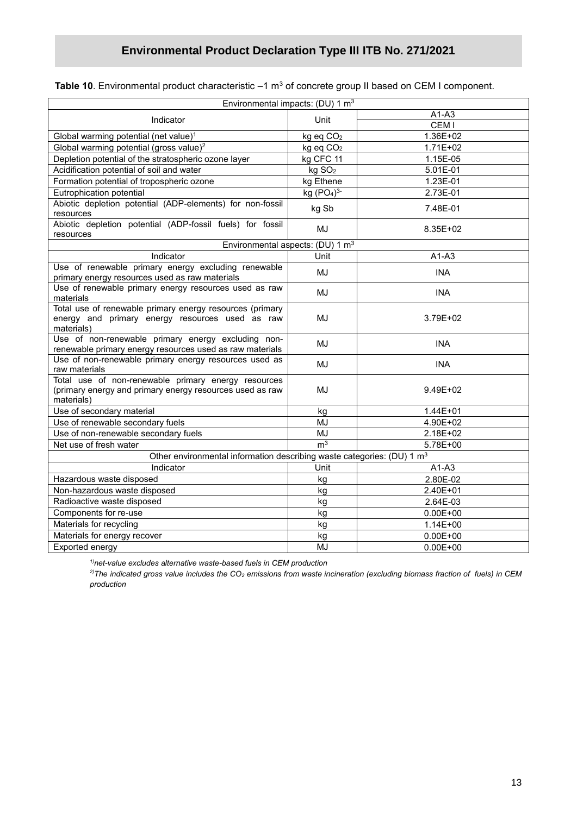## **Environmental Product Declaration Type III ITB No. 271/2021**

| <b>Table 10</b> . Environmental product characteristic $-1$ m $^3$ of concrete group II based on CEM I component. |  |  |
|-------------------------------------------------------------------------------------------------------------------|--|--|
|-------------------------------------------------------------------------------------------------------------------|--|--|

| $A1-A3$<br>Indicator<br>Unit<br>CEM <sub>I</sub><br>1.36E+02<br>Global warming potential (net value) <sup>1</sup><br>kg eq CO <sub>2</sub><br>Global warming potential (gross value) <sup>2</sup><br>kg eq CO <sub>2</sub><br>$1.71E + 02$<br>Depletion potential of the stratospheric ozone layer<br>kg CFC 11<br>1.15E-05<br>Acidification potential of soil and water<br>kg SO <sub>2</sub><br>5.01E-01<br>Formation potential of tropospheric ozone<br>kg Ethene<br>1.23E-01<br>Eutrophication potential<br>kg (PO <sub>4</sub> ) <sup>3</sup><br>2.73E-01<br>Abiotic depletion potential (ADP-elements) for non-fossil<br>7.48E-01<br>kg Sb<br>resources<br>Abiotic depletion potential (ADP-fossil fuels) for fossil<br>MJ<br>8.35E+02<br>resources<br>Environmental aspects: (DU) 1 m <sup>3</sup><br>Indicator<br>Unit<br>$A1-A3$<br>Use of renewable primary energy excluding renewable<br>MJ<br><b>INA</b><br>primary energy resources used as raw materials<br>Use of renewable primary energy resources used as raw<br>MJ<br><b>INA</b><br>materials<br>Total use of renewable primary energy resources (primary<br>energy and primary energy resources used as raw<br>MJ<br>3.79E+02<br>materials)<br>Use of non-renewable primary energy excluding non-<br>MJ<br><b>INA</b><br>renewable primary energy resources used as raw materials<br>Use of non-renewable primary energy resources used as<br>MJ<br><b>INA</b><br>raw materials<br>Total use of non-renewable primary energy resources<br>(primary energy and primary energy resources used as raw<br>MJ<br>9.49E+02<br>materials)<br>Use of secondary material<br>1.44E+01<br>kg<br>Use of renewable secondary fuels<br>4.90E+02<br>MJ<br>Use of non-renewable secondary fuels<br>MJ<br>2.18E+02<br>m <sup>3</sup><br>Net use of fresh water<br>5.78E+00<br>Other environmental information describing waste categories: (DU) 1 m <sup>3</sup><br>Indicator<br>Unit<br>$A1-A3$<br>Hazardous waste disposed<br>kg<br>2.80E-02<br>Non-hazardous waste disposed<br>2.40E+01<br>kg | Environmental impacts: (DU) 1 m <sup>3</sup> |    |          |
|-----------------------------------------------------------------------------------------------------------------------------------------------------------------------------------------------------------------------------------------------------------------------------------------------------------------------------------------------------------------------------------------------------------------------------------------------------------------------------------------------------------------------------------------------------------------------------------------------------------------------------------------------------------------------------------------------------------------------------------------------------------------------------------------------------------------------------------------------------------------------------------------------------------------------------------------------------------------------------------------------------------------------------------------------------------------------------------------------------------------------------------------------------------------------------------------------------------------------------------------------------------------------------------------------------------------------------------------------------------------------------------------------------------------------------------------------------------------------------------------------------------------------------------------------------------------------------------------------------------------------------------------------------------------------------------------------------------------------------------------------------------------------------------------------------------------------------------------------------------------------------------------------------------------------------------------------------------------------------------------------------------------------------------------------------|----------------------------------------------|----|----------|
|                                                                                                                                                                                                                                                                                                                                                                                                                                                                                                                                                                                                                                                                                                                                                                                                                                                                                                                                                                                                                                                                                                                                                                                                                                                                                                                                                                                                                                                                                                                                                                                                                                                                                                                                                                                                                                                                                                                                                                                                                                                     |                                              |    |          |
|                                                                                                                                                                                                                                                                                                                                                                                                                                                                                                                                                                                                                                                                                                                                                                                                                                                                                                                                                                                                                                                                                                                                                                                                                                                                                                                                                                                                                                                                                                                                                                                                                                                                                                                                                                                                                                                                                                                                                                                                                                                     |                                              |    |          |
|                                                                                                                                                                                                                                                                                                                                                                                                                                                                                                                                                                                                                                                                                                                                                                                                                                                                                                                                                                                                                                                                                                                                                                                                                                                                                                                                                                                                                                                                                                                                                                                                                                                                                                                                                                                                                                                                                                                                                                                                                                                     |                                              |    |          |
|                                                                                                                                                                                                                                                                                                                                                                                                                                                                                                                                                                                                                                                                                                                                                                                                                                                                                                                                                                                                                                                                                                                                                                                                                                                                                                                                                                                                                                                                                                                                                                                                                                                                                                                                                                                                                                                                                                                                                                                                                                                     |                                              |    |          |
|                                                                                                                                                                                                                                                                                                                                                                                                                                                                                                                                                                                                                                                                                                                                                                                                                                                                                                                                                                                                                                                                                                                                                                                                                                                                                                                                                                                                                                                                                                                                                                                                                                                                                                                                                                                                                                                                                                                                                                                                                                                     |                                              |    |          |
|                                                                                                                                                                                                                                                                                                                                                                                                                                                                                                                                                                                                                                                                                                                                                                                                                                                                                                                                                                                                                                                                                                                                                                                                                                                                                                                                                                                                                                                                                                                                                                                                                                                                                                                                                                                                                                                                                                                                                                                                                                                     |                                              |    |          |
|                                                                                                                                                                                                                                                                                                                                                                                                                                                                                                                                                                                                                                                                                                                                                                                                                                                                                                                                                                                                                                                                                                                                                                                                                                                                                                                                                                                                                                                                                                                                                                                                                                                                                                                                                                                                                                                                                                                                                                                                                                                     |                                              |    |          |
|                                                                                                                                                                                                                                                                                                                                                                                                                                                                                                                                                                                                                                                                                                                                                                                                                                                                                                                                                                                                                                                                                                                                                                                                                                                                                                                                                                                                                                                                                                                                                                                                                                                                                                                                                                                                                                                                                                                                                                                                                                                     |                                              |    |          |
|                                                                                                                                                                                                                                                                                                                                                                                                                                                                                                                                                                                                                                                                                                                                                                                                                                                                                                                                                                                                                                                                                                                                                                                                                                                                                                                                                                                                                                                                                                                                                                                                                                                                                                                                                                                                                                                                                                                                                                                                                                                     |                                              |    |          |
|                                                                                                                                                                                                                                                                                                                                                                                                                                                                                                                                                                                                                                                                                                                                                                                                                                                                                                                                                                                                                                                                                                                                                                                                                                                                                                                                                                                                                                                                                                                                                                                                                                                                                                                                                                                                                                                                                                                                                                                                                                                     |                                              |    |          |
|                                                                                                                                                                                                                                                                                                                                                                                                                                                                                                                                                                                                                                                                                                                                                                                                                                                                                                                                                                                                                                                                                                                                                                                                                                                                                                                                                                                                                                                                                                                                                                                                                                                                                                                                                                                                                                                                                                                                                                                                                                                     |                                              |    |          |
|                                                                                                                                                                                                                                                                                                                                                                                                                                                                                                                                                                                                                                                                                                                                                                                                                                                                                                                                                                                                                                                                                                                                                                                                                                                                                                                                                                                                                                                                                                                                                                                                                                                                                                                                                                                                                                                                                                                                                                                                                                                     |                                              |    |          |
|                                                                                                                                                                                                                                                                                                                                                                                                                                                                                                                                                                                                                                                                                                                                                                                                                                                                                                                                                                                                                                                                                                                                                                                                                                                                                                                                                                                                                                                                                                                                                                                                                                                                                                                                                                                                                                                                                                                                                                                                                                                     |                                              |    |          |
|                                                                                                                                                                                                                                                                                                                                                                                                                                                                                                                                                                                                                                                                                                                                                                                                                                                                                                                                                                                                                                                                                                                                                                                                                                                                                                                                                                                                                                                                                                                                                                                                                                                                                                                                                                                                                                                                                                                                                                                                                                                     |                                              |    |          |
|                                                                                                                                                                                                                                                                                                                                                                                                                                                                                                                                                                                                                                                                                                                                                                                                                                                                                                                                                                                                                                                                                                                                                                                                                                                                                                                                                                                                                                                                                                                                                                                                                                                                                                                                                                                                                                                                                                                                                                                                                                                     |                                              |    |          |
|                                                                                                                                                                                                                                                                                                                                                                                                                                                                                                                                                                                                                                                                                                                                                                                                                                                                                                                                                                                                                                                                                                                                                                                                                                                                                                                                                                                                                                                                                                                                                                                                                                                                                                                                                                                                                                                                                                                                                                                                                                                     |                                              |    |          |
|                                                                                                                                                                                                                                                                                                                                                                                                                                                                                                                                                                                                                                                                                                                                                                                                                                                                                                                                                                                                                                                                                                                                                                                                                                                                                                                                                                                                                                                                                                                                                                                                                                                                                                                                                                                                                                                                                                                                                                                                                                                     |                                              |    |          |
|                                                                                                                                                                                                                                                                                                                                                                                                                                                                                                                                                                                                                                                                                                                                                                                                                                                                                                                                                                                                                                                                                                                                                                                                                                                                                                                                                                                                                                                                                                                                                                                                                                                                                                                                                                                                                                                                                                                                                                                                                                                     |                                              |    |          |
|                                                                                                                                                                                                                                                                                                                                                                                                                                                                                                                                                                                                                                                                                                                                                                                                                                                                                                                                                                                                                                                                                                                                                                                                                                                                                                                                                                                                                                                                                                                                                                                                                                                                                                                                                                                                                                                                                                                                                                                                                                                     |                                              |    |          |
|                                                                                                                                                                                                                                                                                                                                                                                                                                                                                                                                                                                                                                                                                                                                                                                                                                                                                                                                                                                                                                                                                                                                                                                                                                                                                                                                                                                                                                                                                                                                                                                                                                                                                                                                                                                                                                                                                                                                                                                                                                                     |                                              |    |          |
|                                                                                                                                                                                                                                                                                                                                                                                                                                                                                                                                                                                                                                                                                                                                                                                                                                                                                                                                                                                                                                                                                                                                                                                                                                                                                                                                                                                                                                                                                                                                                                                                                                                                                                                                                                                                                                                                                                                                                                                                                                                     |                                              |    |          |
|                                                                                                                                                                                                                                                                                                                                                                                                                                                                                                                                                                                                                                                                                                                                                                                                                                                                                                                                                                                                                                                                                                                                                                                                                                                                                                                                                                                                                                                                                                                                                                                                                                                                                                                                                                                                                                                                                                                                                                                                                                                     |                                              |    |          |
|                                                                                                                                                                                                                                                                                                                                                                                                                                                                                                                                                                                                                                                                                                                                                                                                                                                                                                                                                                                                                                                                                                                                                                                                                                                                                                                                                                                                                                                                                                                                                                                                                                                                                                                                                                                                                                                                                                                                                                                                                                                     |                                              |    |          |
|                                                                                                                                                                                                                                                                                                                                                                                                                                                                                                                                                                                                                                                                                                                                                                                                                                                                                                                                                                                                                                                                                                                                                                                                                                                                                                                                                                                                                                                                                                                                                                                                                                                                                                                                                                                                                                                                                                                                                                                                                                                     |                                              |    |          |
|                                                                                                                                                                                                                                                                                                                                                                                                                                                                                                                                                                                                                                                                                                                                                                                                                                                                                                                                                                                                                                                                                                                                                                                                                                                                                                                                                                                                                                                                                                                                                                                                                                                                                                                                                                                                                                                                                                                                                                                                                                                     |                                              |    |          |
|                                                                                                                                                                                                                                                                                                                                                                                                                                                                                                                                                                                                                                                                                                                                                                                                                                                                                                                                                                                                                                                                                                                                                                                                                                                                                                                                                                                                                                                                                                                                                                                                                                                                                                                                                                                                                                                                                                                                                                                                                                                     |                                              |    |          |
|                                                                                                                                                                                                                                                                                                                                                                                                                                                                                                                                                                                                                                                                                                                                                                                                                                                                                                                                                                                                                                                                                                                                                                                                                                                                                                                                                                                                                                                                                                                                                                                                                                                                                                                                                                                                                                                                                                                                                                                                                                                     |                                              |    |          |
|                                                                                                                                                                                                                                                                                                                                                                                                                                                                                                                                                                                                                                                                                                                                                                                                                                                                                                                                                                                                                                                                                                                                                                                                                                                                                                                                                                                                                                                                                                                                                                                                                                                                                                                                                                                                                                                                                                                                                                                                                                                     | Radioactive waste disposed                   | kg | 2.64E-03 |
| Components for re-use<br>$0.00E + 00$<br>kg                                                                                                                                                                                                                                                                                                                                                                                                                                                                                                                                                                                                                                                                                                                                                                                                                                                                                                                                                                                                                                                                                                                                                                                                                                                                                                                                                                                                                                                                                                                                                                                                                                                                                                                                                                                                                                                                                                                                                                                                         |                                              |    |          |
| Materials for recycling<br>kg<br>$1.14E + 00$                                                                                                                                                                                                                                                                                                                                                                                                                                                                                                                                                                                                                                                                                                                                                                                                                                                                                                                                                                                                                                                                                                                                                                                                                                                                                                                                                                                                                                                                                                                                                                                                                                                                                                                                                                                                                                                                                                                                                                                                       |                                              |    |          |
| Materials for energy recover<br>$0.00E + 00$<br>kg                                                                                                                                                                                                                                                                                                                                                                                                                                                                                                                                                                                                                                                                                                                                                                                                                                                                                                                                                                                                                                                                                                                                                                                                                                                                                                                                                                                                                                                                                                                                                                                                                                                                                                                                                                                                                                                                                                                                                                                                  |                                              |    |          |
| Exported energy<br>MJ<br>$0.00E + 00$                                                                                                                                                                                                                                                                                                                                                                                                                                                                                                                                                                                                                                                                                                                                                                                                                                                                                                                                                                                                                                                                                                                                                                                                                                                                                                                                                                                                                                                                                                                                                                                                                                                                                                                                                                                                                                                                                                                                                                                                               |                                              |    |          |

*1)net-value excludes alternative waste-based fuels in CEM production*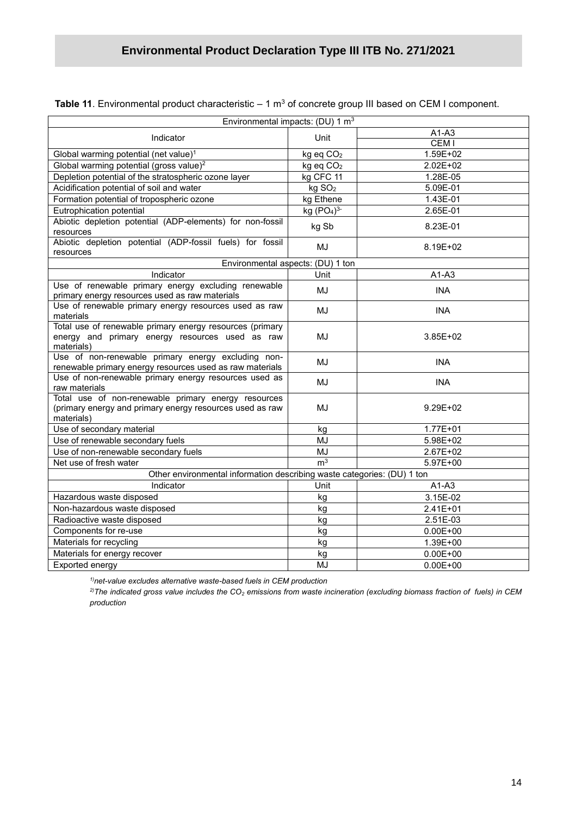| Environmental impacts: (DU) 1 m <sup>3</sup>                                                                                  |                                    |                  |  |  |  |
|-------------------------------------------------------------------------------------------------------------------------------|------------------------------------|------------------|--|--|--|
| Indicator                                                                                                                     | Unit                               | $A1-A3$          |  |  |  |
|                                                                                                                               |                                    | CEM <sub>I</sub> |  |  |  |
| Global warming potential (net value) <sup>1</sup>                                                                             | kg eq CO <sub>2</sub>              | 1.59E+02         |  |  |  |
| Global warming potential (gross value) <sup>2</sup>                                                                           | kg eq CO <sub>2</sub>              | 2.02E+02         |  |  |  |
| Depletion potential of the stratospheric ozone layer                                                                          | kg CFC 11                          | 1.28E-05         |  |  |  |
| Acidification potential of soil and water                                                                                     | kg SO <sub>2</sub>                 | 5.09E-01         |  |  |  |
| Formation potential of tropospheric ozone                                                                                     | kg Ethene                          | 1.43E-01         |  |  |  |
| Eutrophication potential                                                                                                      | kg (PO <sub>4</sub> ) <sup>3</sup> | 2.65E-01         |  |  |  |
| Abiotic depletion potential (ADP-elements) for non-fossil<br>resources                                                        | kg Sb                              | 8.23E-01         |  |  |  |
| Abiotic depletion potential (ADP-fossil fuels) for fossil<br>resources                                                        | <b>MJ</b>                          | 8.19E+02         |  |  |  |
| Environmental aspects: (DU) 1 ton                                                                                             |                                    |                  |  |  |  |
| Indicator                                                                                                                     | Unit                               | $A1-A3$          |  |  |  |
| Use of renewable primary energy excluding renewable<br>primary energy resources used as raw materials                         | <b>MJ</b>                          | <b>INA</b>       |  |  |  |
| Use of renewable primary energy resources used as raw<br>materials                                                            | <b>MJ</b>                          | <b>INA</b>       |  |  |  |
| Total use of renewable primary energy resources (primary<br>energy and primary energy resources used as raw<br>materials)     | MJ                                 | $3.85E + 02$     |  |  |  |
| Use of non-renewable primary energy excluding non-<br>renewable primary energy resources used as raw materials                | MJ                                 | <b>INA</b>       |  |  |  |
| Use of non-renewable primary energy resources used as<br>raw materials                                                        | MJ                                 | <b>INA</b>       |  |  |  |
| Total use of non-renewable primary energy resources<br>(primary energy and primary energy resources used as raw<br>materials) | <b>MJ</b>                          | 9.29E+02         |  |  |  |
| Use of secondary material                                                                                                     | kg                                 | 1.77E+01         |  |  |  |
| Use of renewable secondary fuels                                                                                              | MJ                                 | 5.98E+02         |  |  |  |
| Use of non-renewable secondary fuels                                                                                          | <b>MJ</b>                          | 2.67E+02         |  |  |  |
| Net use of fresh water                                                                                                        | m <sup>3</sup>                     | 5.97E+00         |  |  |  |
| Other environmental information describing waste categories: (DU) 1 ton                                                       |                                    |                  |  |  |  |
| Indicator                                                                                                                     | Unit                               | $A1-A3$          |  |  |  |
| Hazardous waste disposed                                                                                                      | kg                                 | 3.15E-02         |  |  |  |
| Non-hazardous waste disposed                                                                                                  | kg                                 | 2.41E+01         |  |  |  |
| Radioactive waste disposed                                                                                                    | kg                                 | 2.51E-03         |  |  |  |
| Components for re-use                                                                                                         | kg                                 | $0.00E + 00$     |  |  |  |
| Materials for recycling                                                                                                       | kg                                 | 1.39E+00         |  |  |  |
| Materials for energy recover                                                                                                  | kg                                 | $0.00E + 00$     |  |  |  |
| Exported energy                                                                                                               | MJ                                 | $0.00E + 00$     |  |  |  |

**Table 11**. Environmental product characteristic – 1 m<sup>3</sup> of concrete group III based on CEM I component.

*1)net-value excludes alternative waste-based fuels in CEM production*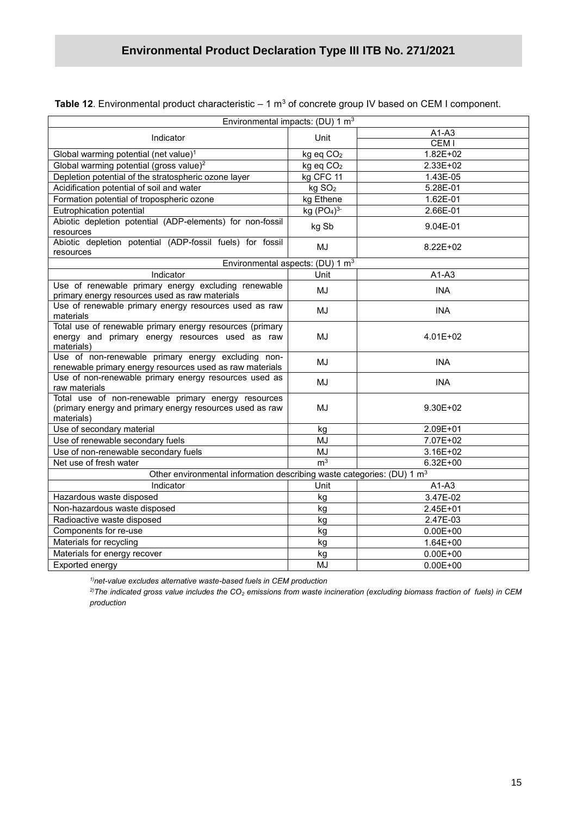| Environmental impacts: (DU) 1 m <sup>3</sup>                                       |                                    |                  |  |  |  |
|------------------------------------------------------------------------------------|------------------------------------|------------------|--|--|--|
|                                                                                    | Unit                               | A1-A3            |  |  |  |
| Indicator                                                                          |                                    | CEM <sub>I</sub> |  |  |  |
| Global warming potential (net value) <sup>1</sup>                                  | kg eq CO <sub>2</sub>              | 1.82E+02         |  |  |  |
| Global warming potential (gross value) <sup>2</sup>                                | kg eq CO <sub>2</sub>              | 2.33E+02         |  |  |  |
| Depletion potential of the stratospheric ozone layer                               | kg CFC 11                          | 1.43E-05         |  |  |  |
| Acidification potential of soil and water                                          | kg SO <sub>2</sub>                 | 5.28E-01         |  |  |  |
| Formation potential of tropospheric ozone                                          | kg Ethene                          | 1.62E-01         |  |  |  |
| Eutrophication potential                                                           | kg (PO <sub>4</sub> ) <sup>3</sup> | 2.66E-01         |  |  |  |
| Abiotic depletion potential (ADP-elements) for non-fossil                          | kg Sb                              | 9.04E-01         |  |  |  |
| resources<br>Abiotic depletion potential (ADP-fossil fuels) for fossil             |                                    |                  |  |  |  |
|                                                                                    | MJ                                 | 8.22E+02         |  |  |  |
| resources<br>Environmental aspects: (DU) 1 m <sup>3</sup>                          |                                    |                  |  |  |  |
| Indicator                                                                          | Unit                               | $A1-A3$          |  |  |  |
| Use of renewable primary energy excluding renewable                                | MJ                                 | <b>INA</b>       |  |  |  |
| primary energy resources used as raw materials                                     |                                    |                  |  |  |  |
| Use of renewable primary energy resources used as raw                              | MJ                                 | <b>INA</b>       |  |  |  |
| materials<br>Total use of renewable primary energy resources (primary              |                                    |                  |  |  |  |
| energy and primary energy resources used as raw                                    | MJ                                 | 4.01E+02         |  |  |  |
| materials)                                                                         |                                    |                  |  |  |  |
| Use of non-renewable primary energy excluding non-                                 |                                    |                  |  |  |  |
| renewable primary energy resources used as raw materials                           | MJ                                 | <b>INA</b>       |  |  |  |
| Use of non-renewable primary energy resources used as                              | MJ                                 | <b>INA</b>       |  |  |  |
| raw materials                                                                      |                                    |                  |  |  |  |
| Total use of non-renewable primary energy resources                                |                                    |                  |  |  |  |
| (primary energy and primary energy resources used as raw<br>materials)             | MJ                                 | $9.30E + 02$     |  |  |  |
| Use of secondary material                                                          | kg                                 | 2.09E+01         |  |  |  |
| Use of renewable secondary fuels                                                   | MJ                                 | 7.07E+02         |  |  |  |
| Use of non-renewable secondary fuels                                               | <b>MJ</b>                          | 3.16E+02         |  |  |  |
| Net use of fresh water                                                             | m <sup>3</sup>                     | $6.32E + 00$     |  |  |  |
| Other environmental information describing waste categories: (DU) 1 m <sup>3</sup> |                                    |                  |  |  |  |
| Indicator                                                                          | Unit                               | $A1-A3$          |  |  |  |
| Hazardous waste disposed                                                           | kg                                 | 3.47E-02         |  |  |  |
| Non-hazardous waste disposed                                                       | kg                                 | 2.45E+01         |  |  |  |
| Radioactive waste disposed                                                         | kg                                 | 2.47E-03         |  |  |  |
| Components for re-use                                                              | kg                                 | $0.00E + 00$     |  |  |  |
| Materials for recycling                                                            | kg                                 | $1.64E + 00$     |  |  |  |
| Materials for energy recover                                                       | kg                                 | $0.00E + 00$     |  |  |  |
| Exported energy                                                                    | MJ                                 | $0.00E + 00$     |  |  |  |
|                                                                                    |                                    |                  |  |  |  |

**Table 12**. Environmental product characteristic – 1 m<sup>3</sup> of concrete group IV based on CEM I component.

*1)net-value excludes alternative waste-based fuels in CEM production*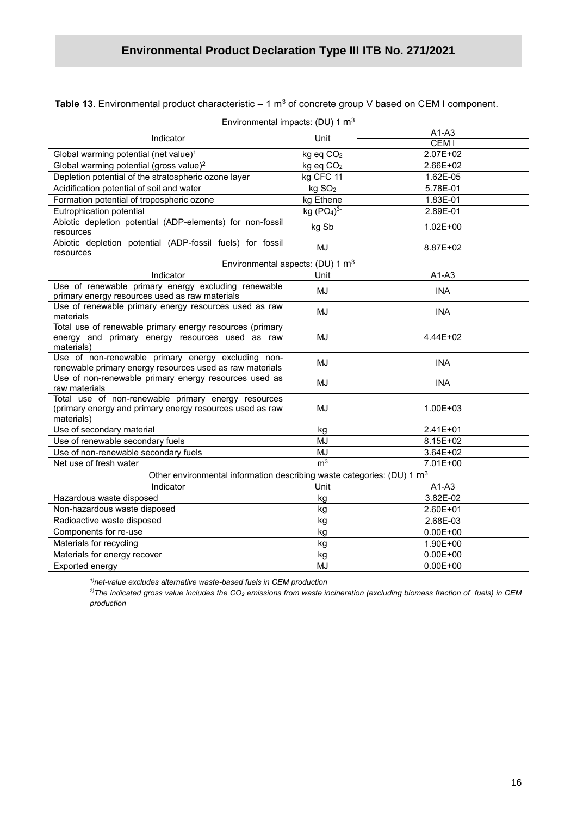| Environmental impacts: (DU) 1 m <sup>3</sup>                                                                                  |                       |                  |  |  |  |
|-------------------------------------------------------------------------------------------------------------------------------|-----------------------|------------------|--|--|--|
|                                                                                                                               | Unit                  | $A1-A3$          |  |  |  |
| Indicator                                                                                                                     |                       | CEM <sub>I</sub> |  |  |  |
| Global warming potential (net value) <sup>1</sup>                                                                             | kg eq CO <sub>2</sub> | $2.07E+02$       |  |  |  |
| Global warming potential (gross value) <sup>2</sup>                                                                           | kg eq CO <sub>2</sub> | 2.66E+02         |  |  |  |
| Depletion potential of the stratospheric ozone layer                                                                          | kg CFC 11             | 1.62E-05         |  |  |  |
| Acidification potential of soil and water                                                                                     | kg SO <sub>2</sub>    | 5.78E-01         |  |  |  |
| Formation potential of tropospheric ozone                                                                                     | kg Ethene             | 1.83E-01         |  |  |  |
| Eutrophication potential                                                                                                      | kg $(PO4)3$           | 2.89E-01         |  |  |  |
| Abiotic depletion potential (ADP-elements) for non-fossil<br>resources                                                        | kg Sb                 | $1.02E + 00$     |  |  |  |
| Abiotic depletion potential (ADP-fossil fuels) for fossil<br>resources                                                        | MJ                    | 8.87E+02         |  |  |  |
| Environmental aspects: (DU) 1 m <sup>3</sup>                                                                                  |                       |                  |  |  |  |
| Indicator                                                                                                                     | Unit                  | $A1-A3$          |  |  |  |
| Use of renewable primary energy excluding renewable<br>primary energy resources used as raw materials                         | MJ                    | <b>INA</b>       |  |  |  |
| Use of renewable primary energy resources used as raw<br>materials                                                            | MJ                    | <b>INA</b>       |  |  |  |
| Total use of renewable primary energy resources (primary<br>energy and primary energy resources used as raw<br>materials)     | MJ                    | 4.44E+02         |  |  |  |
| Use of non-renewable primary energy excluding non-<br>renewable primary energy resources used as raw materials                | <b>MJ</b>             | <b>INA</b>       |  |  |  |
| Use of non-renewable primary energy resources used as<br>raw materials                                                        | MJ                    | <b>INA</b>       |  |  |  |
| Total use of non-renewable primary energy resources<br>(primary energy and primary energy resources used as raw<br>materials) | MJ                    | 1.00E+03         |  |  |  |
| Use of secondary material                                                                                                     | kg                    | 2.41E+01         |  |  |  |
| Use of renewable secondary fuels                                                                                              | MJ                    | 8.15E+02         |  |  |  |
| Use of non-renewable secondary fuels                                                                                          | MJ                    | 3.64E+02         |  |  |  |
| Net use of fresh water                                                                                                        | m <sup>3</sup>        | 7.01E+00         |  |  |  |
| Other environmental information describing waste categories: (DU) 1 m <sup>3</sup>                                            |                       |                  |  |  |  |
| Indicator                                                                                                                     | Unit                  | $A1-A3$          |  |  |  |
| Hazardous waste disposed                                                                                                      | kg                    | 3.82E-02         |  |  |  |
| Non-hazardous waste disposed                                                                                                  | kg                    | 2.60E+01         |  |  |  |
| Radioactive waste disposed                                                                                                    | kg                    | 2.68E-03         |  |  |  |
| Components for re-use                                                                                                         | kg                    | $0.00E + 00$     |  |  |  |
| Materials for recycling                                                                                                       | kg                    | 1.90E+00         |  |  |  |
| Materials for energy recover                                                                                                  | kg                    | $0.00E + 00$     |  |  |  |
| Exported energy                                                                                                               | MJ                    | $0.00E + 00$     |  |  |  |

**Table 13**. Environmental product characteristic  $-$  1  $\text{m}^3$  of concrete group V based on CEM I component.

*1)net-value excludes alternative waste-based fuels in CEM production*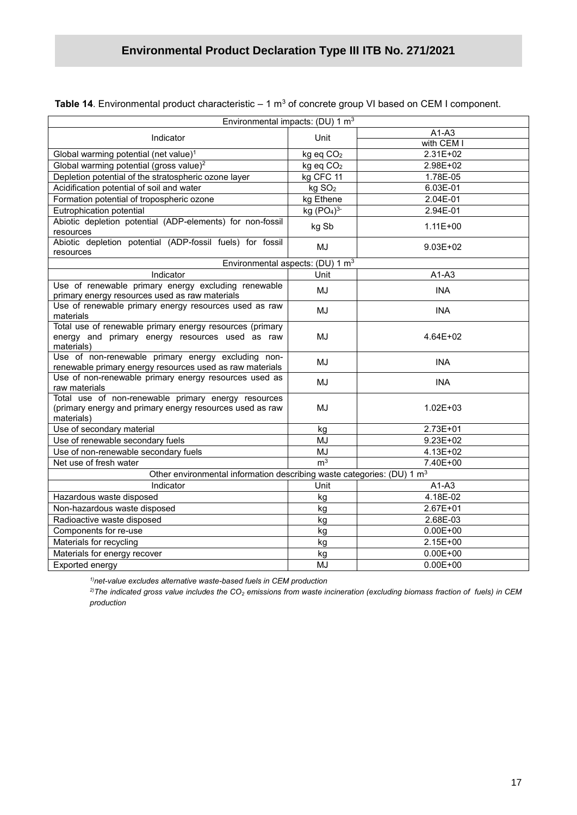| Table 14. Environmental product characteristic $-1 \text{ m}^3$ of concrete group VI based on CEM I component. |  |
|----------------------------------------------------------------------------------------------------------------|--|
|----------------------------------------------------------------------------------------------------------------|--|

|                                                                                                                               | Environmental impacts: (DU) 1 m <sup>3</sup> |              |  |  |
|-------------------------------------------------------------------------------------------------------------------------------|----------------------------------------------|--------------|--|--|
| Indicator                                                                                                                     | Unit                                         | $A1-A3$      |  |  |
|                                                                                                                               |                                              | with CEM I   |  |  |
| Global warming potential (net value) <sup>1</sup>                                                                             | kg eq CO <sub>2</sub>                        | 2.31E+02     |  |  |
| Global warming potential (gross value) <sup>2</sup>                                                                           | kg eq CO <sub>2</sub>                        | 2.98E+02     |  |  |
| Depletion potential of the stratospheric ozone layer                                                                          | kg CFC 11                                    | 1.78E-05     |  |  |
| Acidification potential of soil and water                                                                                     | kg SO <sub>2</sub>                           | 6.03E-01     |  |  |
| Formation potential of tropospheric ozone                                                                                     | kg Ethene                                    | 2.04E-01     |  |  |
| Eutrophication potential                                                                                                      | kg $(PO4)3$                                  | 2.94E-01     |  |  |
| Abiotic depletion potential (ADP-elements) for non-fossil<br>resources                                                        | kg Sb                                        | $1.11E + 00$ |  |  |
| Abiotic depletion potential (ADP-fossil fuels) for fossil<br>resources                                                        | MJ                                           | $9.03E + 02$ |  |  |
|                                                                                                                               | Environmental aspects: (DU) 1 m <sup>3</sup> |              |  |  |
| Indicator                                                                                                                     | Unit                                         | $A1-A3$      |  |  |
| Use of renewable primary energy excluding renewable<br>primary energy resources used as raw materials                         | MJ                                           | <b>INA</b>   |  |  |
| Use of renewable primary energy resources used as raw<br>materials                                                            | MJ                                           | <b>INA</b>   |  |  |
| Total use of renewable primary energy resources (primary<br>energy and primary energy resources used as raw<br>materials)     | MJ                                           | 4.64E+02     |  |  |
| Use of non-renewable primary energy excluding non-<br>renewable primary energy resources used as raw materials                | MJ                                           | <b>INA</b>   |  |  |
| Use of non-renewable primary energy resources used as<br>raw materials                                                        | MJ                                           | <b>INA</b>   |  |  |
| Total use of non-renewable primary energy resources<br>(primary energy and primary energy resources used as raw<br>materials) | MJ                                           | 1.02E+03     |  |  |
| Use of secondary material                                                                                                     | kg                                           | 2.73E+01     |  |  |
| Use of renewable secondary fuels                                                                                              | <b>MJ</b>                                    | $9.23E + 02$ |  |  |
| Use of non-renewable secondary fuels                                                                                          | <b>MJ</b>                                    | 4.13E+02     |  |  |
| Net use of fresh water                                                                                                        | m <sup>3</sup>                               | 7.40E+00     |  |  |
| Other environmental information describing waste categories: (DU) 1 m <sup>3</sup>                                            |                                              |              |  |  |
| Indicator                                                                                                                     | Unit                                         | $A1-A3$      |  |  |
| Hazardous waste disposed                                                                                                      | kg                                           | 4.18E-02     |  |  |
| Non-hazardous waste disposed                                                                                                  | kg                                           | 2.67E+01     |  |  |
| Radioactive waste disposed                                                                                                    | kg                                           | 2.68E-03     |  |  |
| Components for re-use                                                                                                         | kg                                           | $0.00E + 00$ |  |  |
| Materials for recycling                                                                                                       | kg                                           | 2.15E+00     |  |  |
| Materials for energy recover                                                                                                  | kg                                           | $0.00E + 00$ |  |  |
| Exported energy                                                                                                               | MJ                                           | $0.00E + 00$ |  |  |

*1)net-value excludes alternative waste-based fuels in CEM production*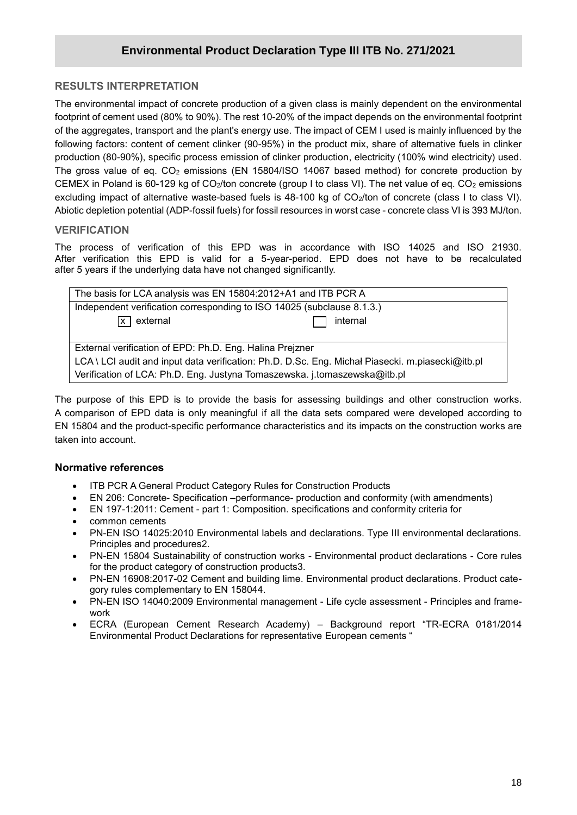#### **RESULTS INTERPRETATION**

**/2020** footprint of cement used (80% to 90%). The rest 10-20% of the impact depends on the environmental footprint The environmental impact of concrete production of a given class is mainly dependent on the environmental of the aggregates, transport and the plant's energy use. The impact of CEM I used is mainly influenced by the following factors: content of cement clinker (90-95%) in the product mix, share of alternative fuels in clinker production (80-90%), specific process emission of clinker production, electricity (100% wind electricity) used. The gross value of eq.  $CO<sub>2</sub>$  emissions (EN 15804/ISO 14067 based method) for concrete production by CEMEX in Poland is 60-129 kg of CO<sub>2</sub>/ton concrete (group I to class VI). The net value of eq. CO<sub>2</sub> emissions excluding impact of alternative waste-based fuels is 48-100 kg of CO<sub>2</sub>/ton of concrete (class I to class VI). Abiotic depletion potential (ADP-fossil fuels) for fossil resources in worst case - concrete class VI is 393 MJ/ton.

#### **VERIFICATION**

The process of verification of this EPD was in accordance with ISO 14025 and ISO 21930. After verification this EPD is valid for a 5-year-period. EPD does not have to be recalculated after 5 years if the underlying data have not changed significantly.

| The basis for LCA analysis was EN 15804:2012+A1 and ITB PCR A                                    |          |  |
|--------------------------------------------------------------------------------------------------|----------|--|
| Independent verification corresponding to ISO 14025 (subclause 8.1.3.)                           |          |  |
| $\overline{x}$ external                                                                          | internal |  |
|                                                                                                  |          |  |
| External verification of EPD: Ph.D. Eng. Halina Prejzner                                         |          |  |
| LCA \ LCI audit and input data verification: Ph.D. D.Sc. Eng. Michał Piasecki. m.piasecki@itb.pl |          |  |
| Verification of LCA: Ph.D. Eng. Justyna Tomaszewska. j.tomaszewska@itb.pl                        |          |  |

The purpose of this EPD is to provide the basis for assessing buildings and other construction works. A comparison of EPD data is only meaningful if all the data sets compared were developed according to EN 15804 and the product-specific performance characteristics and its impacts on the construction works are taken into account.

#### **Normative references**

- ITB PCR A General Product Category Rules for Construction Products
- EN 206: Concrete- Specification –performance- production and conformity (with amendments)
- EN 197-1:2011: Cement part 1: Composition. specifications and conformity criteria for
- common cements
- PN-EN ISO 14025:2010 Environmental labels and declarations. Type III environmental declarations. Principles and procedures2.
- PN-EN 15804 Sustainability of construction works Environmental product declarations Core rules for the product category of construction products3.
- PN-EN 16908:2017-02 Cement and building lime. Environmental product declarations. Product category rules complementary to EN 158044.
- PN-EN ISO 14040:2009 Environmental management Life cycle assessment Principles and framework
- ECRA (European Cement Research Academy) Background report "TR-ECRA 0181/2014 Environmental Product Declarations for representative European cements "